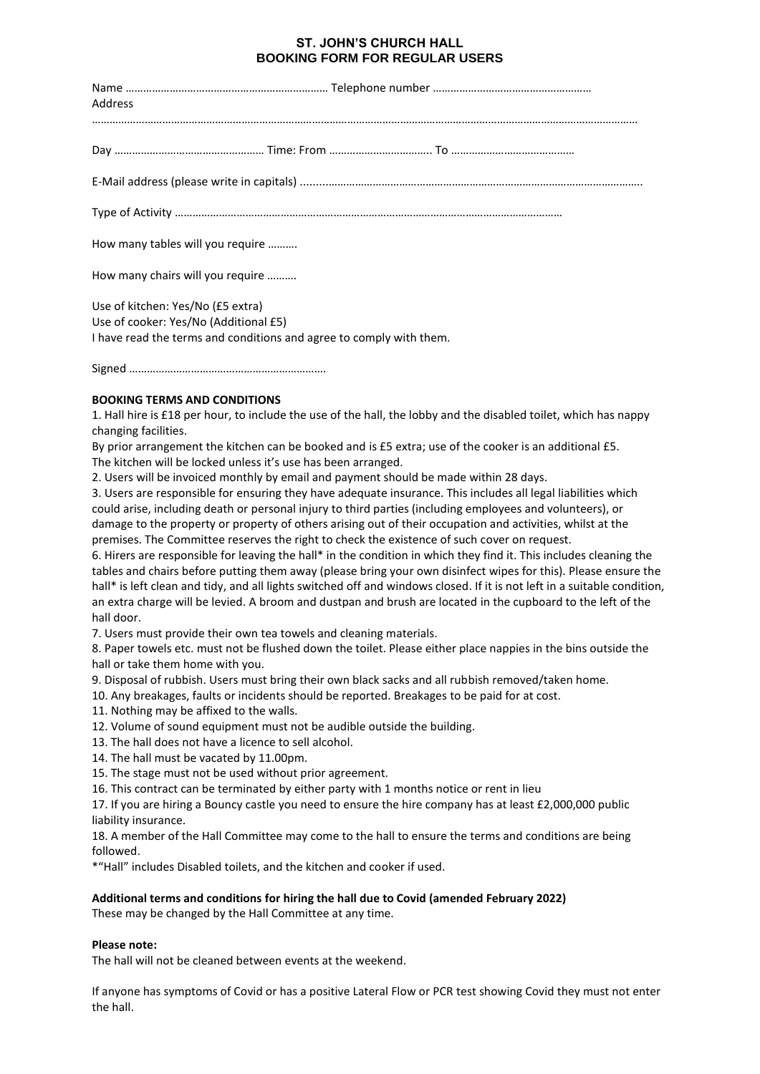## **ST. JOHN'S CHURCH HALL BOOKING FORM FOR REGULAR USERS**

| Address                               |                                                                                                                  |
|---------------------------------------|------------------------------------------------------------------------------------------------------------------|
|                                       |                                                                                                                  |
|                                       |                                                                                                                  |
|                                       |                                                                                                                  |
| How many tables will you require      |                                                                                                                  |
| How many chairs will you require      |                                                                                                                  |
| Use of kitchen: Yes/No (£5 extra)     |                                                                                                                  |
| Use of cooker: Yes/No (Additional £5) |                                                                                                                  |
|                                       | I have read the terms and conditions and agree to comply with them.                                              |
|                                       |                                                                                                                  |
| <b>BOOKING TERMS AND CONDITIONS</b>   |                                                                                                                  |
|                                       | 1. Hall hire is £18 per hour, to include the use of the hall, the lobby and the disabled toilet, which has nappy |
| changing facilities.                  |                                                                                                                  |
|                                       | By prior arrangement the kitchen can be booked and is £5 extra; use of the cooker is an additional £5.           |
|                                       | The kitchen will be locked unless it's use has been arranged.                                                    |
|                                       | 2. Users will be invoiced monthly by email and payment should be made within 28 days.                            |

3. Users are responsible for ensuring they have adequate insurance. This includes all legal liabilities which could arise, including death or personal injury to third parties (including employees and volunteers), or damage to the property or property of others arising out of their occupation and activities, whilst at the premises. The Committee reserves the right to check the existence of such cover on request.

6. Hirers are responsible for leaving the hall\* in the condition in which they find it. This includes cleaning the tables and chairs before putting them away (please bring your own disinfect wipes for this). Please ensure the hall\* is left clean and tidy, and all lights switched off and windows closed. If it is not left in a suitable condition, an extra charge will be levied. A broom and dustpan and brush are located in the cupboard to the left of the hall door.

7. Users must provide their own tea towels and cleaning materials.

8. Paper towels etc. must not be flushed down the toilet. Please either place nappies in the bins outside the hall or take them home with you.

9. Disposal of rubbish. Users must bring their own black sacks and all rubbish removed/taken home.

10. Any breakages, faults or incidents should be reported. Breakages to be paid for at cost.

11. Nothing may be affixed to the walls.

12. Volume of sound equipment must not be audible outside the building.

13. The hall does not have a licence to sell alcohol.

14. The hall must be vacated by 11.00pm.

15. The stage must not be used without prior agreement.

16. This contract can be terminated by either party with 1 months notice or rent in lieu

17. If you are hiring a Bouncy castle you need to ensure the hire company has at least £2,000,000 public liability insurance.

18. A member of the Hall Committee may come to the hall to ensure the terms and conditions are being followed.

\*"Hall" includes Disabled toilets, and the kitchen and cooker if used.

## **Additional terms and conditions for hiring the hall due to Covid (amended February 2022)**

These may be changed by the Hall Committee at any time.

## **Please note:**

The hall will not be cleaned between events at the weekend.

If anyone has symptoms of Covid or has a positive Lateral Flow or PCR test showing Covid they must not enter the hall.